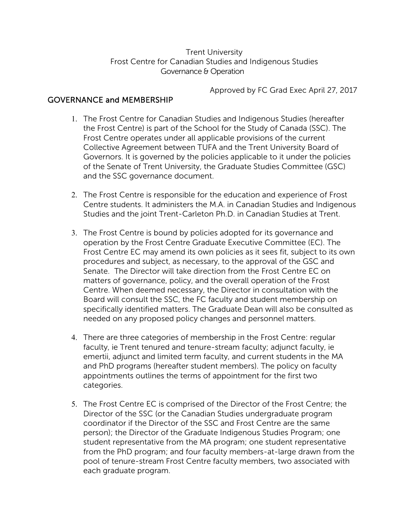# Trent University Frost Centre for Canadian Studies and Indigenous Studies Governance & Operation

Approved by FC Grad Exec April 27, 2017

# GOVERNANCE and MEMBERSHIP

- 1. The Frost Centre for Canadian Studies and Indigenous Studies (hereafter the Frost Centre) is part of the School for the Study of Canada (SSC). The Frost Centre operates under all applicable provisions of the current Collective Agreement between TUFA and the Trent University Board of Governors. It is governed by the policies applicable to it under the policies of the Senate of Trent University, the Graduate Studies Committee (GSC) and the SSC governance document.
- 2. The Frost Centre is responsible for the education and experience of Frost Centre students. It administers the M.A. in Canadian Studies and Indigenous Studies and the joint Trent-Carleton Ph.D. in Canadian Studies at Trent.
- 3. The Frost Centre is bound by policies adopted for its governance and operation by the Frost Centre Graduate Executive Committee (EC). The Frost Centre EC may amend its own policies as it sees fit, subject to its own procedures and subject, as necessary, to the approval of the GSC and Senate. The Director will take direction from the Frost Centre EC on matters of governance, policy, and the overall operation of the Frost Centre. When deemed necessary, the Director in consultation with the Board will consult the SSC, the FC faculty and student membership on specifically identified matters. The Graduate Dean will also be consulted as needed on any proposed policy changes and personnel matters.
- 4. There are three categories of membership in the Frost Centre: regular faculty, ie Trent tenured and tenure-stream faculty; adjunct faculty, ie emertii, adjunct and limited term faculty, and current students in the MA and PhD programs (hereafter student members). The policy on faculty appointments outlines the terms of appointment for the first two categories.
- 5. The Frost Centre EC is comprised of the Director of the Frost Centre; the Director of the SSC (or the Canadian Studies undergraduate program coordinator if the Director of the SSC and Frost Centre are the same person); the Director of the Graduate Indigenous Studies Program; one student representative from the MA program; one student representative from the PhD program; and four faculty members-at-large drawn from the pool of tenure-stream Frost Centre faculty members, two associated with each graduate program.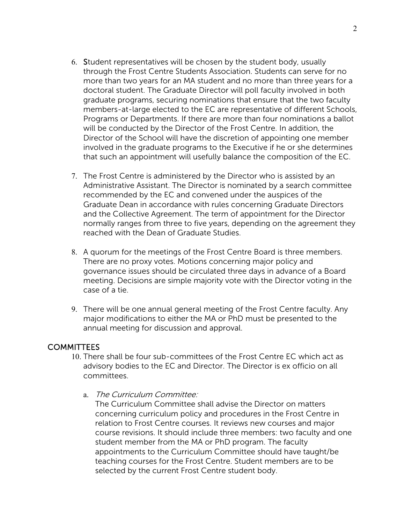- 6. Student representatives will be chosen by the student body, usually through the Frost Centre Students Association. Students can serve for no more than two years for an MA student and no more than three years for a doctoral student. The Graduate Director will poll faculty involved in both graduate programs, securing nominations that ensure that the two faculty members-at-large elected to the EC are representative of different Schools, Programs or Departments. If there are more than four nominations a ballot will be conducted by the Director of the Frost Centre. In addition, the Director of the School will have the discretion of appointing one member involved in the graduate programs to the Executive if he or she determines that such an appointment will usefully balance the composition of the EC.
- 7. The Frost Centre is administered by the Director who is assisted by an Administrative Assistant. The Director is nominated by a search committee recommended by the EC and convened under the auspices of the Graduate Dean in accordance with rules concerning Graduate Directors and the Collective Agreement. The term of appointment for the Director normally ranges from three to five years, depending on the agreement they reached with the Dean of Graduate Studies.
- 8. A quorum for the meetings of the Frost Centre Board is three members. There are no proxy votes. Motions concerning major policy and governance issues should be circulated three days in advance of a Board meeting. Decisions are simple majority vote with the Director voting in the case of a tie.
- 9. There will be one annual general meeting of the Frost Centre faculty. Any major modifications to either the MA or PhD must be presented to the annual meeting for discussion and approval.

# **COMMITTEES**

- 10. There shall be four sub-committees of the Frost Centre EC which act as advisory bodies to the EC and Director. The Director is ex officio on all committees.
	- a. The Curriculum Committee:

The Curriculum Committee shall advise the Director on matters concerning curriculum policy and procedures in the Frost Centre in relation to Frost Centre courses. It reviews new courses and major course revisions. It should include three members: two faculty and one student member from the MA or PhD program. The faculty appointments to the Curriculum Committee should have taught/be teaching courses for the Frost Centre. Student members are to be selected by the current Frost Centre student body.